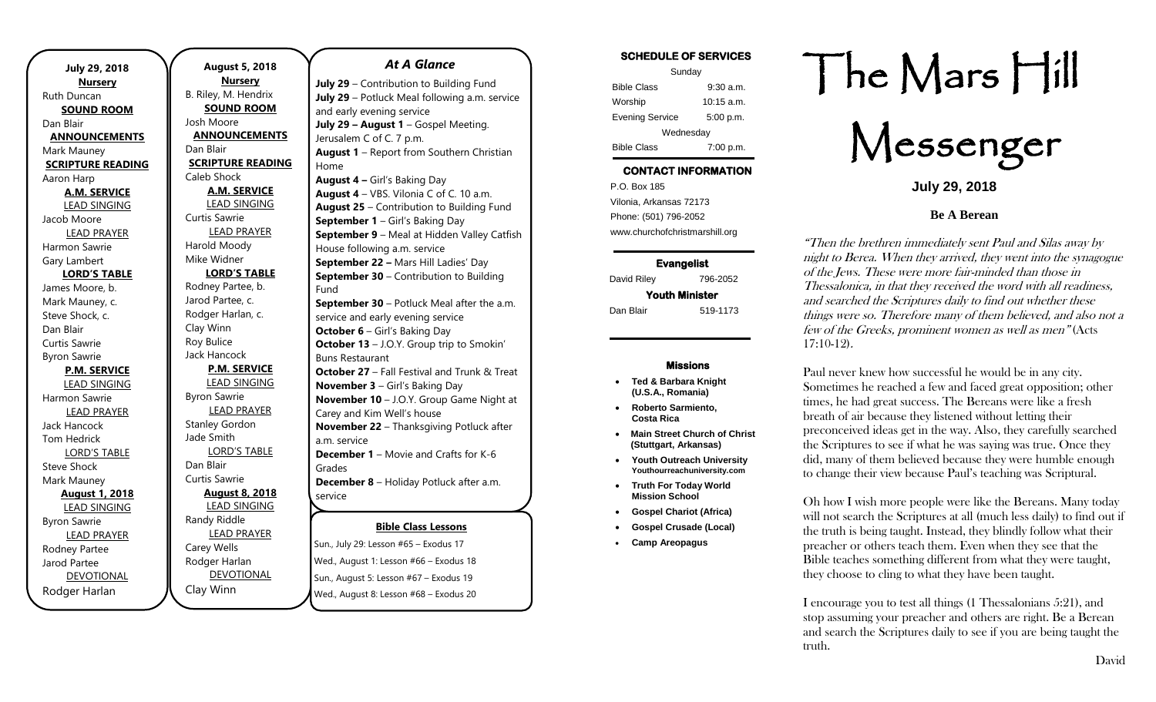| <b>July 29, 2018</b>     |  |  |
|--------------------------|--|--|
| <b>Nursery</b>           |  |  |
| Ruth Duncan              |  |  |
| <b>SOUND ROOM</b>        |  |  |
| Dan Blair                |  |  |
| <b>ANNOUNCEMENTS</b>     |  |  |
| Mark Mauney              |  |  |
| <b>SCRIPTURE READING</b> |  |  |
| Aaron Harp               |  |  |
| <b>A.M. SERVICE</b>      |  |  |
| <b>LEAD SINGING</b>      |  |  |
| Jacob Moore              |  |  |
| <b>LEAD PRAYER</b>       |  |  |
| Harmon Sawrie            |  |  |
| Gary Lambert             |  |  |
| <b>LORD'S TABLE</b>      |  |  |
| James Moore, b.          |  |  |
| Mark Mauney, c.          |  |  |
| Steve Shock, c.          |  |  |
| Dan Blair                |  |  |
| Curtis Sawrie            |  |  |
| <b>Byron Sawrie</b>      |  |  |
| <b>P.M. SERVICE</b>      |  |  |
| <b>LEAD SINGING</b>      |  |  |
| Harmon Sawrie            |  |  |
| <b>LEAD PRAYER</b>       |  |  |
| <b>Jack Hancock</b>      |  |  |
| <b>Tom Hedrick</b>       |  |  |
| <b>LORD'S TABLE</b>      |  |  |
| <b>Steve Shock</b>       |  |  |
| Mark Mauney              |  |  |
| <b>August 1, 2018</b>    |  |  |
| <b>LEAD SINGING</b>      |  |  |
| <b>Byron Sawrie</b>      |  |  |
| <b>LEAD PRAYER</b>       |  |  |
| Rodney Partee            |  |  |
| Jarod Partee             |  |  |
| <b>DEVOTIONAL</b>        |  |  |
| Rodger Harlan            |  |  |

**August 5, 2018 Nursery** B. Riley, M. Hendrix **SOUND ROOM** Josh Moore **ANNOUNCEMENTS** Dan Blair **SCRIPTURE READING** Caleb Shock **A.M. SERVICE** LEAD SINGING Curtis Sawrie LEAD PRAYER Harold Moody Mike Widner **LORD'S TABLE** Rodney Partee, b. Jarod Partee, c. Rodger Harlan, c. Clay Winn Roy Bulice Jack Hancock **P.M. SERVICE** LEAD SINGING Byron Sawrie LEAD PRAYER Stanley Gordon Jade Smith LORD'S TABLE Dan Blair Curtis Sawrie **August 8, 2018** LEAD SINGING Randy Riddle LEAD PRAYER Carey Wells Rodger Harlan DEVOTIONAL

Clay Winn

*At A Glance* 

**Bible Class Lessons July 29** – Contribution to Building Fund **July 29** – Potluck Meal following a.m. service and early evening service **July 29 – August 1** – Gospel Meeting. Jerusalem C of C. 7 p.m. **August 1** – Report from Southern Christian Home **August 4 –** Girl's Baking Day **August 4** – VBS. Vilonia C of C. 10 a.m. **August 25** – Contribution to Building Fund **September 1** – Girl's Baking Day **September 9** – Meal at Hidden Valley Catfish House following a.m. service **September 22 –** Mars Hill Ladies' Day **September 30 – Contribution to Building** Fund **September 30** – Potluck Meal after the a.m. service and early evening service **October 6** – Girl's Baking Day **October 13** – J.O.Y. Group trip to Smokin' Buns Restaurant **October 27 – Fall Festival and Trunk & Treat November 3** – Girl's Baking Day **November 10** – J.O.Y. Group Game Night at Carey and Kim Well's house **November 22** – Thanksgiving Potluck after a.m. service **December 1** – Movie and Crafts for K-6 Grades **December 8** – Holiday Potluck after a.m. service

Sun., July 29: Lesson #65 – Exodus 17 Wed., August 1: Lesson #66 – Exodus 18 Sun., August 5: Lesson #67 – Exodus 19 Wed., August 8: Lesson #68 – Exodus 20

#### **SCHEDULE OF SERVICES**

| Sunday                 |              |  |
|------------------------|--------------|--|
| <b>Bible Class</b>     | $9:30$ a.m.  |  |
| Worship                | $10:15$ a.m. |  |
| <b>Evening Service</b> | 5:00 p.m.    |  |
| Wednesday              |              |  |
| <b>Bible Class</b>     | 7:00 p.m.    |  |

# **CONTACT INFORMATION**

. .o. Box 166<br>Vilonia, Arkansas 72173 P.O. Box 185 Phone: (501) 796-2052 www.churchofchristmarshill.org

#### **Evangelist**  David Riley 796-2052

**Youth Minister**  Dan Blair 519-1173

#### **Missions**

- **Ted & Barbara Knight (U.S.A., Romania)**
- **Roberto Sarmiento, Costa Rica**
- **Main Street Church of Christ (Stuttgart, Arkansas)**
- **Youth Outreach University Youthourreachuniversity.com**
- **Truth For Today World Mission School**
- **Gospel Chariot (Africa)**
- **Gospel Crusade (Local)**
- **Camp Areopagus**

# The Mars Hill

Messenger

**July 29, 2018**

#### **Be A Berean**

"Then the brethren immediately sent Paul and Silas away by night to Berea. When they arrived, they went into the synagogue of the Jews. These were more fair-minded than those in Thessalonica, in that they received the word with all readiness, and searched the Scriptures daily to find out whether these things were so. Therefore many of them believed, and also not a few of the Greeks, prominent women as well as men" [\(Acts](http://biblia.com/bible/nkjv/Acts%2017.10-12)  [17:10-12\)](http://biblia.com/bible/nkjv/Acts%2017.10-12).

Paul never knew how successful he would be in any city. Sometimes he reached a few and faced great opposition; other times, he had great success. The Bereans were like a fresh breath of air because they listened without letting their preconceived ideas get in the way. Also, they carefully searched the Scriptures to see if what he was saying was true. Once they did, many of them believed because they were humble enough to change their view because Paul's teaching was Scriptural.

Oh how I wish more people were like the Bereans. Many today will not search the Scriptures at all (much less daily) to find out if the truth is being taught. Instead, they blindly follow what their preacher or others teach them. Even when they see that the Bible teaches something different from what they were taught, they choose to cling to what they have been taught.

I encourage you to test all things (1 Thessalonians 5:21), and stop assuming your preacher and others are right. Be a Berean and search the Scriptures daily to see if you are being taught the truth.